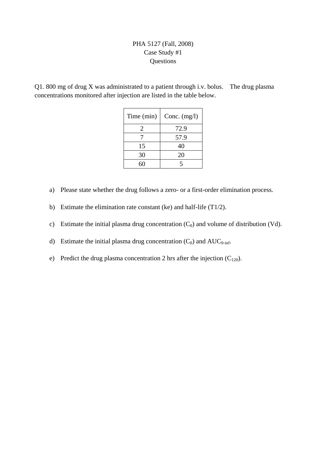## PHA 5127 (Fall, 2008) Case Study #1 Questions

Q1. 800 mg of drug X was administrated to a patient through i.v. bolus. The drug plasma concentrations monitored after injection are listed in the table below.

| Time (min) | Conc. $(mg/l)$ |
|------------|----------------|
| 2          | 72.9           |
|            | 57.9           |
| 15         | 40             |
| 30         | 20             |
|            |                |

- a) Please state whether the drug follows a zero- or a first-order elimination process.
- b) Estimate the elimination rate constant (ke) and half-life (T1/2).
- c) Estimate the initial plasma drug concentration  $(C_0)$  and volume of distribution (Vd).
- d) Estimate the initial plasma drug concentration  $(C_0)$  and  $AUC_{0\text{-inf}}$ .
- e) Predict the drug plasma concentration 2 hrs after the injection  $(C_{120})$ .